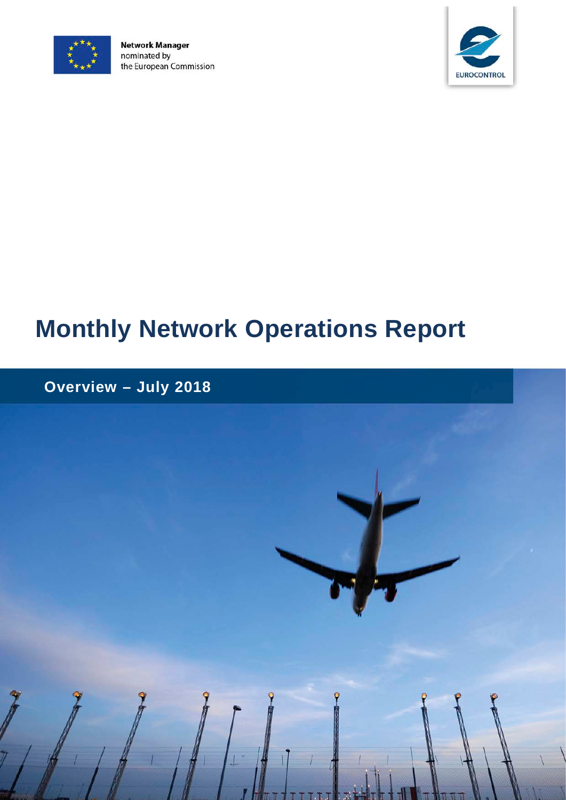

**Network Manager** nominated by the European Commission



# **Monthly Network Operations Report**

# **Overview – July 2018**

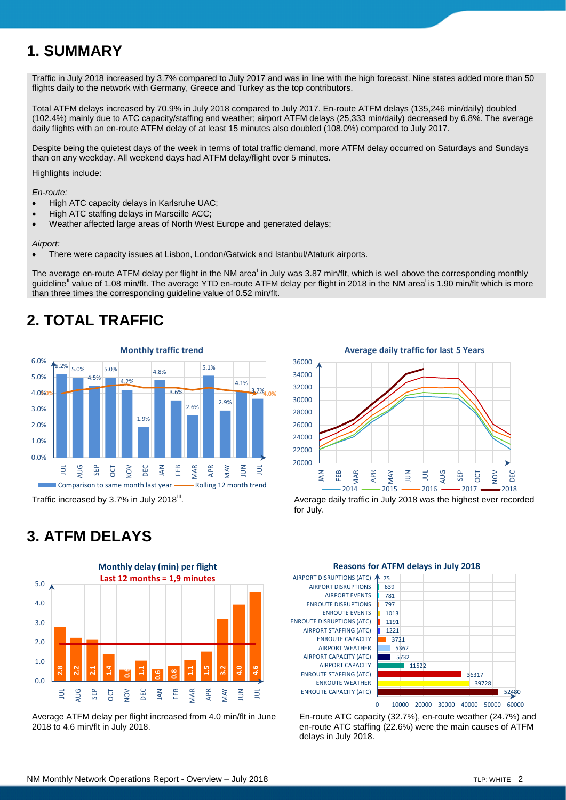# **1. SUMMARY**

Traffic in July 2018 increased by 3.7% compared to July 2017 and was in line with the high forecast. Nine states added more than 50 flights daily to the network with Germany, Greece and Turkey as the top contributors.

Total ATFM delays increased by 70.9% in July 2018 compared to July 2017. En-route ATFM delays (135,246 min/daily) doubled (102.4%) mainly due to ATC capacity/staffing and weather; airport ATFM delays (25,333 min/daily) decreased by 6.8%. The average daily flights with an en-route ATFM delay of at least 15 minutes also doubled (108.0%) compared to July 2017.

Despite being the quietest days of the week in terms of total traffic demand, more ATFM delay occurred on Saturdays and Sundays than on any weekday. All weekend days had ATFM delay/flight over 5 minutes.

Highlights include:

*En-route:*

- High ATC capacity delays in Karlsruhe UAC;
- High ATC staffing delays in Marseille ACC;
- Weather affected large areas of North West Europe and generated delays;

#### *Airport:*

• There were capacity issues at Lisbon, London/Gatwick and Istanbul/Ataturk airports.

<span id="page-1-1"></span>The average en-route ATFM delay per fl[i](#page-3-0)ght in the NM area<sup>i</sup> in July was 3.87 min/flt, which is well above the corresponding monthly guideline<sup>[ii](#page-3-1)</sup> v[a](#page-1-0)lue of 1.08 min/flt. The average YTD en-route ATFM delay per flight in 2018 in the NM area<sup>i</sup> is 1.90 min/flt which is more than three times the corresponding guideline value of 0.52 min/flt.

# **2. TOTAL TRAFFIC**



Traffic increased by 3.7% in July 2018<sup>[iii](#page-3-2)</sup>.

<span id="page-1-0"></span>

. Average daily traffic in July 2018 was the highest ever recorded for July.

## **3. ATFM DELAYS**



Average ATFM delay per flight increased from 4.0 min/flt in June 2018 to 4.6 min/flt in July 2018.





En-route ATC capacity (32.7%), en-route weather (24.7%) and en-route ATC staffing (22.6%) were the main causes of ATFM delays in July 2018.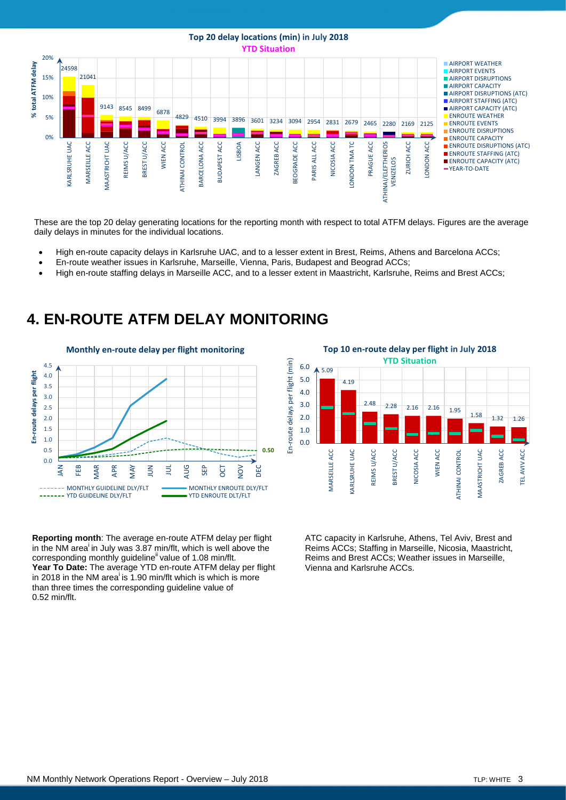#### **Top 20 delay locations (min) in July 2018 YTD Situation**



These are the top 20 delay generating locations for the reporting month with respect to total ATFM delays. Figures are the average daily delays in minutes for the individual locations.

- High en-route capacity delays in Karlsruhe UAC, and to a lesser extent in Brest, Reims, Athens and Barcelona ACCs;
- En-route weather issues in Karlsruhe, Marseille, Vienna, Paris, Budapest and Beograd ACCs;
- High en-route staffing delays in Marseille ACC, and to a lesser extent in Maastricht, Karlsruhe, Reims and Brest ACCs;

# **4. EN-ROUTE ATFM DELAY MONITORING**



**Top 10 en-route delay per flight in July 2018 YTD Situation**En-route delays per flight (min) En-route delays per flight (min) 6.0 5.09 5.0 4.19 4.0 3.0 2.48 2.28 2.16 2.16 1.95  $1.58$   $1.32$   $1.26$ 2.0 1.0 0.0 **VIARSEILLE ACC CARLSRUHE UAC** REIMS U/ACC BREST U/ACC **VICOSIA ACC** WIEN ACC ATHINAI CONTROL MAASTRICHT UAC ZAGREB ACC TEL AVIV ACC MARSEILLE ACC KARLSRUHE UAC REIMS U/ACC BREST U/ACC NICOSIA ACC WIEN ACC ATHINAI CONTROL MAASTRICHT UAC ZAGREB ACC TEL AVIV ACC

**Reporting month**: The average en-route ATFM delay per flight in the NM [a](#page-1-0)rea<sup>i</sup> in July was 3.87 min/flt, which is well above the corr[e](#page-1-1)sponding monthly guideline<sup>ii</sup> value of 1.08 min/flt. **Year To Date:** The average YTD en-route ATFM delay per flight in 2018 in the NM [a](#page-1-0)rea is 1.90 min/flt which is which is more than three times the corresponding guideline value of 0.52 min/flt.

ATC capacity in Karlsruhe, Athens, Tel Aviv, Brest and Reims ACCs; Staffing in Marseille, Nicosia, Maastricht, Reims and Brest ACCs; Weather issues in Marseille, Vienna and Karlsruhe ACCs.